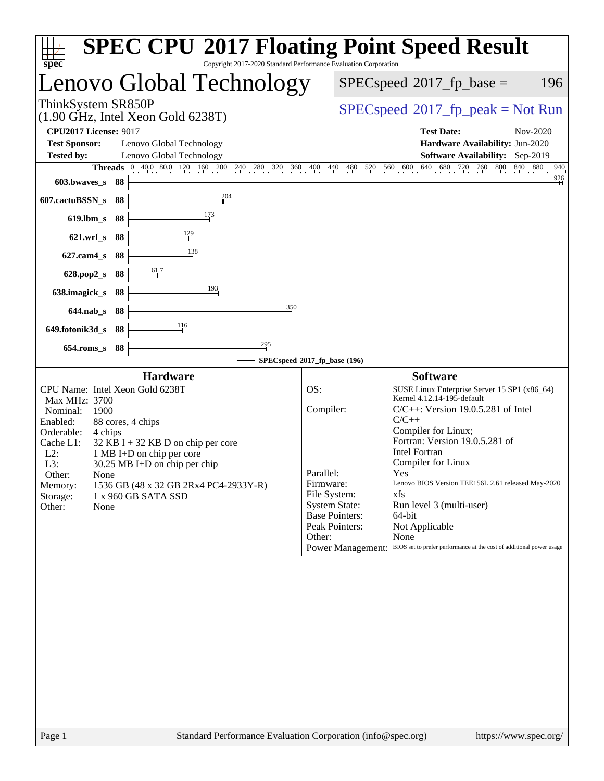| Copyright 2017-2020 Standard Performance Evaluation Corporation<br>$spec^*$                                                                                                                                                                                                                                                                                                                                                                                                                                                                                                                                         | <b>SPEC CPU®2017 Floating Point Speed Result</b>                                                                                                                                                                                                                                                                                                                                                                                                                                                                                                                                                                                  |
|---------------------------------------------------------------------------------------------------------------------------------------------------------------------------------------------------------------------------------------------------------------------------------------------------------------------------------------------------------------------------------------------------------------------------------------------------------------------------------------------------------------------------------------------------------------------------------------------------------------------|-----------------------------------------------------------------------------------------------------------------------------------------------------------------------------------------------------------------------------------------------------------------------------------------------------------------------------------------------------------------------------------------------------------------------------------------------------------------------------------------------------------------------------------------------------------------------------------------------------------------------------------|
| Lenovo Global Technology                                                                                                                                                                                                                                                                                                                                                                                                                                                                                                                                                                                            | $SPEC speed^{\circ}2017$ _fp_base =<br>196                                                                                                                                                                                                                                                                                                                                                                                                                                                                                                                                                                                        |
| ThinkSystem SR850P<br>$(1.90 \text{ GHz}, \text{Intel Xeon Gold } 6238 \text{T})$                                                                                                                                                                                                                                                                                                                                                                                                                                                                                                                                   | $SPEC speed^{\circ}2017\_fp\_peak = Not Run$                                                                                                                                                                                                                                                                                                                                                                                                                                                                                                                                                                                      |
| <b>CPU2017 License: 9017</b><br><b>Test Sponsor:</b><br>Lenovo Global Technology<br>Lenovo Global Technology<br><b>Tested by:</b><br><b>Threads</b> $\begin{bmatrix} 0 & 40.0 & 80.0 & 120 & 160 & 200 & 240 & 280 & 320 & 360 & 400 & 440 & 480 & 520 & 560 & 600 & 640 \end{bmatrix}$<br>$603.bwaves$ s<br>- 88<br>204<br>607.cactuBSSN_s<br>88<br>173<br>$619$ .lbm_s<br>88<br>129<br>88<br>$621$ , wrf s<br>138<br>$627$ .cam $4$ <sub>S</sub><br>-88<br>61.7<br>628.pop2_s<br>88<br>193<br>638.imagick_s<br>88<br>350<br>88<br>$644$ .nab s<br>116<br>649.fotonik3d_s<br>88<br>$^{295}$<br>$654$ .roms_s<br>88 | <b>Test Date:</b><br>Nov-2020<br>Hardware Availability: Jun-2020<br>Software Availability: Sep-2019<br>680 720 760 800<br>840 880<br>940<br>$\frac{926}{5}$                                                                                                                                                                                                                                                                                                                                                                                                                                                                       |
|                                                                                                                                                                                                                                                                                                                                                                                                                                                                                                                                                                                                                     | SPECspeed®2017_fp_base (196)                                                                                                                                                                                                                                                                                                                                                                                                                                                                                                                                                                                                      |
| <b>Hardware</b><br>CPU Name: Intel Xeon Gold 6238T<br>Max MHz: 3700<br>Nominal:<br>1900<br>Enabled:<br>88 cores, 4 chips<br>Orderable:<br>4 chips<br>Cache L1:<br>$32$ KB I + 32 KB D on chip per core<br>$L2$ :<br>1 MB I+D on chip per core<br>L3:<br>30.25 MB I+D on chip per chip<br>Other:<br>None<br>1536 GB (48 x 32 GB 2Rx4 PC4-2933Y-R)<br>Memory:<br>Storage:<br>1 x 960 GB SATA SSD<br>Other:<br>None                                                                                                                                                                                                    | <b>Software</b><br>OS:<br>SUSE Linux Enterprise Server 15 SP1 (x86_64)<br>Kernel 4.12.14-195-default<br>Compiler:<br>$C/C++$ : Version 19.0.5.281 of Intel<br>$C/C++$<br>Compiler for Linux;<br>Fortran: Version 19.0.5.281 of<br><b>Intel Fortran</b><br>Compiler for Linux<br>Parallel:<br>Yes<br>Firmware:<br>Lenovo BIOS Version TEE156L 2.61 released May-2020<br>File System:<br>xfs<br><b>System State:</b><br>Run level 3 (multi-user)<br><b>Base Pointers:</b><br>64-bit<br>Peak Pointers:<br>Not Applicable<br>Other:<br>None<br>Power Management: BIOS set to prefer performance at the cost of additional power usage |
|                                                                                                                                                                                                                                                                                                                                                                                                                                                                                                                                                                                                                     |                                                                                                                                                                                                                                                                                                                                                                                                                                                                                                                                                                                                                                   |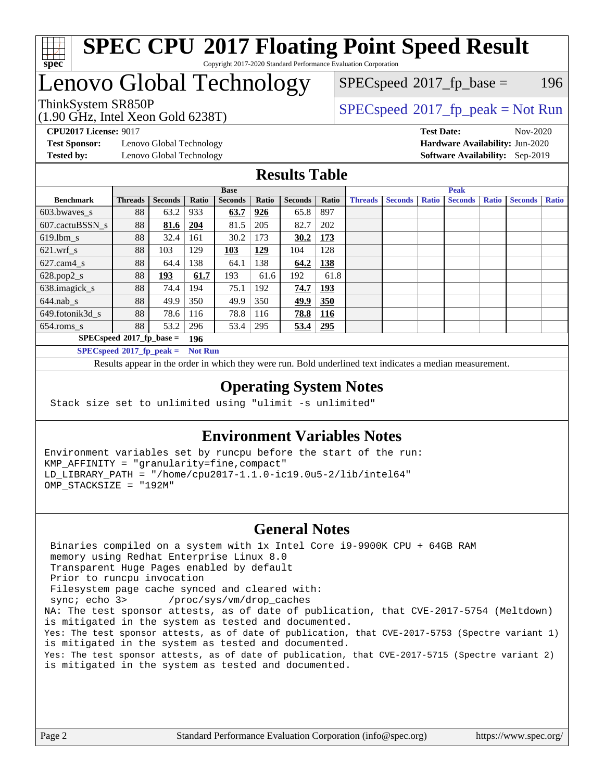

# **[SPEC CPU](http://www.spec.org/auto/cpu2017/Docs/result-fields.html#SPECCPU2017FloatingPointSpeedResult)[2017 Floating Point Speed Result](http://www.spec.org/auto/cpu2017/Docs/result-fields.html#SPECCPU2017FloatingPointSpeedResult)**

Copyright 2017-2020 Standard Performance Evaluation Corporation

# Lenovo Global Technology

(1.90 GHz, Intel Xeon Gold 6238T)

 $SPECspeed^{\circledcirc}2017_fp\_base = 196$  $SPECspeed^{\circledcirc}2017_fp\_base = 196$ 

ThinkSystem SR850P<br>(1.00 GHz, Intel Year Gold 6238T) [SPECspeed](http://www.spec.org/auto/cpu2017/Docs/result-fields.html#SPECspeed2017fppeak)®[2017\\_fp\\_peak = N](http://www.spec.org/auto/cpu2017/Docs/result-fields.html#SPECspeed2017fppeak)ot Run

**[Test Sponsor:](http://www.spec.org/auto/cpu2017/Docs/result-fields.html#TestSponsor)** Lenovo Global Technology **[Hardware Availability:](http://www.spec.org/auto/cpu2017/Docs/result-fields.html#HardwareAvailability)** Jun-2020 **[Tested by:](http://www.spec.org/auto/cpu2017/Docs/result-fields.html#Testedby)** Lenovo Global Technology **[Software Availability:](http://www.spec.org/auto/cpu2017/Docs/result-fields.html#SoftwareAvailability)** Sep-2019

**[CPU2017 License:](http://www.spec.org/auto/cpu2017/Docs/result-fields.html#CPU2017License)** 9017 **[Test Date:](http://www.spec.org/auto/cpu2017/Docs/result-fields.html#TestDate)** Nov-2020

#### **[Results Table](http://www.spec.org/auto/cpu2017/Docs/result-fields.html#ResultsTable)**

|                                    | <b>Base</b>    |                |       |                |       |                | <b>Peak</b> |                |                |              |                |              |                |              |
|------------------------------------|----------------|----------------|-------|----------------|-------|----------------|-------------|----------------|----------------|--------------|----------------|--------------|----------------|--------------|
| <b>Benchmark</b>                   | <b>Threads</b> | <b>Seconds</b> | Ratio | <b>Seconds</b> | Ratio | <b>Seconds</b> | Ratio       | <b>Threads</b> | <b>Seconds</b> | <b>Ratio</b> | <b>Seconds</b> | <b>Ratio</b> | <b>Seconds</b> | <b>Ratio</b> |
| $603.bwaves$ s                     | 88             | 63.2           | 933   | 63.7           | 926   | 65.8           | 897         |                |                |              |                |              |                |              |
| 607.cactuBSSN s                    | 88             | 81.6           | 204   | 81.5           | 205   | 82.7           | 202         |                |                |              |                |              |                |              |
| $619.1$ bm s                       | 88             | 32.4           | 161   | 30.2           | 173   | 30.2           | 173         |                |                |              |                |              |                |              |
| $621$ .wrf s                       | 88             | 103            | 129   | 103            | 129   | 104            | 128         |                |                |              |                |              |                |              |
| $627$ .cam4 s                      | 88             | 64.4           | 138   | 64.1           | 138   | 64.2           | 138         |                |                |              |                |              |                |              |
| $628.pop2_s$                       | 88             | <u> 193</u>    | 61.7  | 193            | 61.6  | 192            | 61.8        |                |                |              |                |              |                |              |
| 638.imagick_s                      | 88             | 74.4           | 194   | 75.1           | 192   | 74.7           | 193         |                |                |              |                |              |                |              |
| $644$ .nab s                       | 88             | 49.9           | 350   | 49.9           | 350   | <u>49.9</u>    | 350         |                |                |              |                |              |                |              |
| 649.fotonik3d s                    | 88             | 78.6           | 116   | 78.8           | 116   | 78.8           | 116         |                |                |              |                |              |                |              |
| $654$ .roms s                      | 88             | 53.2           | 296   | 53.4           | 295   | 53.4           | 295         |                |                |              |                |              |                |              |
| $SPECspeed*2017_fp\_base =$<br>196 |                |                |       |                |       |                |             |                |                |              |                |              |                |              |
| $SPECspeed^{\circ}2017$ fp peak =  | <b>Not Run</b> |                |       |                |       |                |             |                |                |              |                |              |                |              |

Results appear in the [order in which they were run.](http://www.spec.org/auto/cpu2017/Docs/result-fields.html#RunOrder) Bold underlined text [indicates a median measurement](http://www.spec.org/auto/cpu2017/Docs/result-fields.html#Median).

#### **[Operating System Notes](http://www.spec.org/auto/cpu2017/Docs/result-fields.html#OperatingSystemNotes)**

Stack size set to unlimited using "ulimit -s unlimited"

#### **[Environment Variables Notes](http://www.spec.org/auto/cpu2017/Docs/result-fields.html#EnvironmentVariablesNotes)**

Environment variables set by runcpu before the start of the run: KMP\_AFFINITY = "granularity=fine,compact" LD\_LIBRARY\_PATH = "/home/cpu2017-1.1.0-ic19.0u5-2/lib/intel64" OMP\_STACKSIZE = "192M"

#### **[General Notes](http://www.spec.org/auto/cpu2017/Docs/result-fields.html#GeneralNotes)**

 Binaries compiled on a system with 1x Intel Core i9-9900K CPU + 64GB RAM memory using Redhat Enterprise Linux 8.0 Transparent Huge Pages enabled by default Prior to runcpu invocation Filesystem page cache synced and cleared with: sync; echo 3> /proc/sys/vm/drop\_caches NA: The test sponsor attests, as of date of publication, that CVE-2017-5754 (Meltdown) is mitigated in the system as tested and documented. Yes: The test sponsor attests, as of date of publication, that CVE-2017-5753 (Spectre variant 1) is mitigated in the system as tested and documented. Yes: The test sponsor attests, as of date of publication, that CVE-2017-5715 (Spectre variant 2) is mitigated in the system as tested and documented.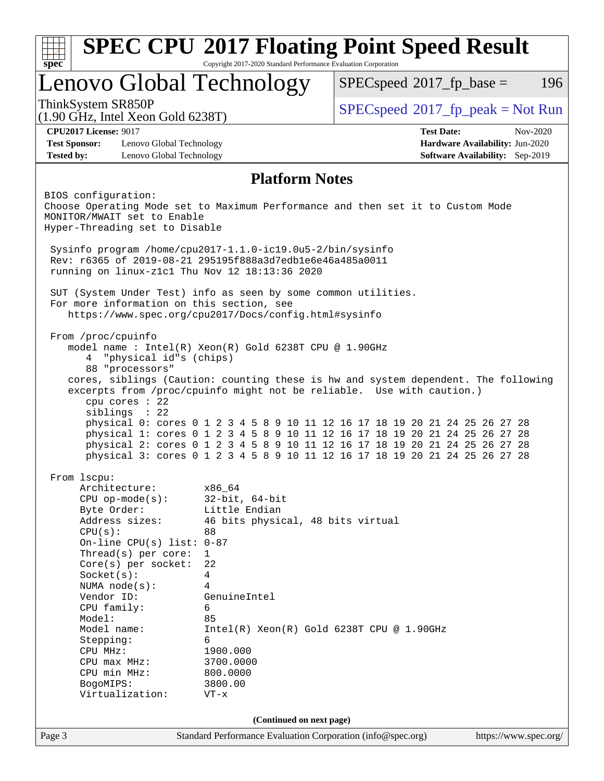| Copyright 2017-2020 Standard Performance Evaluation Corporation<br>spec <sup>®</sup>                                    |                                                            |                                                                                                                                                            |  |  |  |  |  |  |
|-------------------------------------------------------------------------------------------------------------------------|------------------------------------------------------------|------------------------------------------------------------------------------------------------------------------------------------------------------------|--|--|--|--|--|--|
| Lenovo Global Technology                                                                                                |                                                            | $SPEC speed^{\circ}2017$ fp base =<br>196                                                                                                                  |  |  |  |  |  |  |
| ThinkSystem SR850P<br>$(1.90 \text{ GHz}, \text{Intel Xeon Gold } 6238 \text{T})$                                       |                                                            | $SPEC speed^{\circ}2017\_fp\_peak = Not Run$                                                                                                               |  |  |  |  |  |  |
| <b>CPU2017 License: 9017</b>                                                                                            |                                                            | <b>Test Date:</b><br>$Nov-2020$                                                                                                                            |  |  |  |  |  |  |
| <b>Test Sponsor:</b><br>Lenovo Global Technology                                                                        |                                                            | Hardware Availability: Jun-2020                                                                                                                            |  |  |  |  |  |  |
| <b>Tested by:</b><br>Lenovo Global Technology                                                                           |                                                            | <b>Software Availability:</b> Sep-2019                                                                                                                     |  |  |  |  |  |  |
|                                                                                                                         | <b>Platform Notes</b>                                      |                                                                                                                                                            |  |  |  |  |  |  |
| BIOS configuration:                                                                                                     |                                                            |                                                                                                                                                            |  |  |  |  |  |  |
|                                                                                                                         |                                                            | Choose Operating Mode set to Maximum Performance and then set it to Custom Mode                                                                            |  |  |  |  |  |  |
| MONITOR/MWAIT set to Enable                                                                                             |                                                            |                                                                                                                                                            |  |  |  |  |  |  |
| Hyper-Threading set to Disable                                                                                          |                                                            |                                                                                                                                                            |  |  |  |  |  |  |
|                                                                                                                         |                                                            |                                                                                                                                                            |  |  |  |  |  |  |
| Sysinfo program /home/cpu2017-1.1.0-ic19.0u5-2/bin/sysinfo<br>Rev: r6365 of 2019-08-21 295195f888a3d7edble6e46a485a0011 |                                                            |                                                                                                                                                            |  |  |  |  |  |  |
| running on linux-z1c1 Thu Nov 12 18:13:36 2020                                                                          |                                                            |                                                                                                                                                            |  |  |  |  |  |  |
|                                                                                                                         |                                                            |                                                                                                                                                            |  |  |  |  |  |  |
| SUT (System Under Test) info as seen by some common utilities.                                                          |                                                            |                                                                                                                                                            |  |  |  |  |  |  |
| For more information on this section, see                                                                               |                                                            |                                                                                                                                                            |  |  |  |  |  |  |
|                                                                                                                         | https://www.spec.org/cpu2017/Docs/config.html#sysinfo      |                                                                                                                                                            |  |  |  |  |  |  |
| From /proc/cpuinfo                                                                                                      |                                                            |                                                                                                                                                            |  |  |  |  |  |  |
|                                                                                                                         | model name: $Intel(R)$ Xeon $(R)$ Gold 6238T CPU @ 1.90GHz |                                                                                                                                                            |  |  |  |  |  |  |
| "physical id"s (chips)<br>4                                                                                             |                                                            |                                                                                                                                                            |  |  |  |  |  |  |
| 88 "processors"                                                                                                         |                                                            |                                                                                                                                                            |  |  |  |  |  |  |
|                                                                                                                         |                                                            | cores, siblings (Caution: counting these is hw and system dependent. The following                                                                         |  |  |  |  |  |  |
|                                                                                                                         |                                                            |                                                                                                                                                            |  |  |  |  |  |  |
|                                                                                                                         |                                                            | excerpts from /proc/cpuinfo might not be reliable. Use with caution.)                                                                                      |  |  |  |  |  |  |
| cpu cores : 22                                                                                                          |                                                            |                                                                                                                                                            |  |  |  |  |  |  |
| siblings : 22                                                                                                           |                                                            |                                                                                                                                                            |  |  |  |  |  |  |
|                                                                                                                         |                                                            | physical 0: cores 0 1 2 3 4 5 8 9 10 11 12 16 17 18 19 20 21 24 25 26 27 28                                                                                |  |  |  |  |  |  |
|                                                                                                                         |                                                            | physical 1: cores 0 1 2 3 4 5 8 9 10 11 12 16 17 18 19 20 21 24 25 26 27 28                                                                                |  |  |  |  |  |  |
|                                                                                                                         |                                                            | physical 2: cores 0 1 2 3 4 5 8 9 10 11 12 16 17 18 19 20 21 24 25 26 27 28<br>physical 3: cores 0 1 2 3 4 5 8 9 10 11 12 16 17 18 19 20 21 24 25 26 27 28 |  |  |  |  |  |  |
|                                                                                                                         |                                                            |                                                                                                                                                            |  |  |  |  |  |  |
| From 1scpu:                                                                                                             |                                                            |                                                                                                                                                            |  |  |  |  |  |  |
| Architecture:                                                                                                           | x86_64                                                     |                                                                                                                                                            |  |  |  |  |  |  |
| $CPU$ op-mode( $s$ ):                                                                                                   | $32$ -bit, $64$ -bit                                       |                                                                                                                                                            |  |  |  |  |  |  |
| Byte Order:                                                                                                             | Little Endian                                              |                                                                                                                                                            |  |  |  |  |  |  |
| Address sizes:                                                                                                          | 46 bits physical, 48 bits virtual<br>88                    |                                                                                                                                                            |  |  |  |  |  |  |
| CPU(s):<br>On-line CPU(s) list: $0-87$                                                                                  |                                                            |                                                                                                                                                            |  |  |  |  |  |  |
| Thread( $s$ ) per core:                                                                                                 | $\mathbf{1}$                                               |                                                                                                                                                            |  |  |  |  |  |  |
| $Core(s)$ per socket:                                                                                                   | 22                                                         |                                                                                                                                                            |  |  |  |  |  |  |
| Socket(s):                                                                                                              | 4                                                          |                                                                                                                                                            |  |  |  |  |  |  |
| NUMA $node(s):$                                                                                                         | 4                                                          |                                                                                                                                                            |  |  |  |  |  |  |
| Vendor ID:                                                                                                              | GenuineIntel                                               |                                                                                                                                                            |  |  |  |  |  |  |
| CPU family:                                                                                                             | 6                                                          |                                                                                                                                                            |  |  |  |  |  |  |
| Model:<br>Model name:                                                                                                   | 85                                                         |                                                                                                                                                            |  |  |  |  |  |  |
| Stepping:                                                                                                               | 6                                                          | $Intel(R) Xeon(R) Gold 6238T CPU @ 1.90GHz$                                                                                                                |  |  |  |  |  |  |
| CPU MHz:                                                                                                                | 1900.000                                                   |                                                                                                                                                            |  |  |  |  |  |  |
| CPU max MHz:                                                                                                            | 3700.0000                                                  |                                                                                                                                                            |  |  |  |  |  |  |
| CPU min MHz:                                                                                                            | 800.0000                                                   |                                                                                                                                                            |  |  |  |  |  |  |
| BogoMIPS:<br>Virtualization:                                                                                            | 3800.00<br>$VT - x$                                        |                                                                                                                                                            |  |  |  |  |  |  |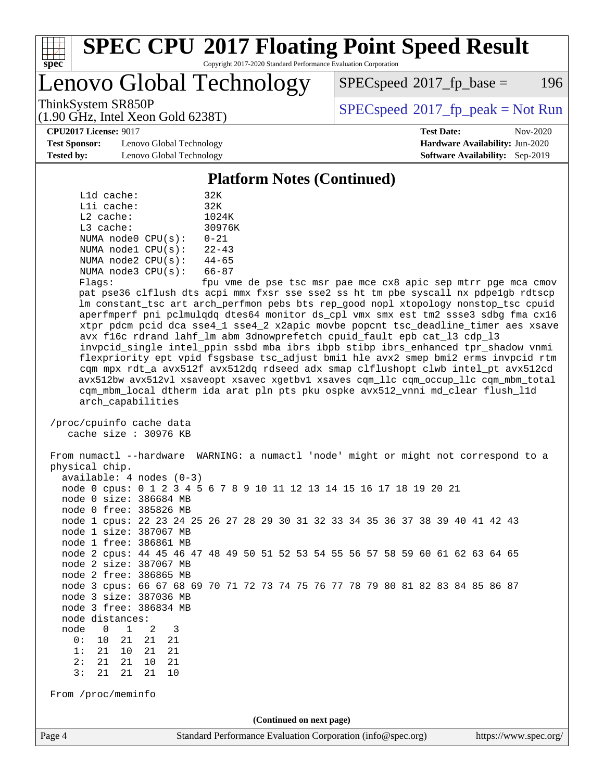

# **[SPEC CPU](http://www.spec.org/auto/cpu2017/Docs/result-fields.html#SPECCPU2017FloatingPointSpeedResult)[2017 Floating Point Speed Result](http://www.spec.org/auto/cpu2017/Docs/result-fields.html#SPECCPU2017FloatingPointSpeedResult)**

Copyright 2017-2020 Standard Performance Evaluation Corporation

Lenovo Global Technology

 $SPEC speed^{\circ}2017\_fp\_base = 196$ 

ThinkSystem SR850P<br>(1.00 CHz, Intel Year Cald 6228T) [SPECspeed](http://www.spec.org/auto/cpu2017/Docs/result-fields.html#SPECspeed2017fppeak)®[2017\\_fp\\_peak = N](http://www.spec.org/auto/cpu2017/Docs/result-fields.html#SPECspeed2017fppeak)ot Run

**[Test Sponsor:](http://www.spec.org/auto/cpu2017/Docs/result-fields.html#TestSponsor)** Lenovo Global Technology **[Hardware Availability:](http://www.spec.org/auto/cpu2017/Docs/result-fields.html#HardwareAvailability)** Jun-2020 **[Tested by:](http://www.spec.org/auto/cpu2017/Docs/result-fields.html#Testedby)** Lenovo Global Technology **[Software Availability:](http://www.spec.org/auto/cpu2017/Docs/result-fields.html#SoftwareAvailability)** Sep-2019

(1.90 GHz, Intel Xeon Gold 6238T)

**[CPU2017 License:](http://www.spec.org/auto/cpu2017/Docs/result-fields.html#CPU2017License)** 9017 **[Test Date:](http://www.spec.org/auto/cpu2017/Docs/result-fields.html#TestDate)** Nov-2020

#### **[Platform Notes \(Continued\)](http://www.spec.org/auto/cpu2017/Docs/result-fields.html#PlatformNotes)**

| L1d cache:  |                         | 32K                      |  |  |
|-------------|-------------------------|--------------------------|--|--|
| Lli cache:  | 32K                     |                          |  |  |
| $L2$ cache: | 1024K                   |                          |  |  |
| $L3$ cache: | 30976K                  |                          |  |  |
|             | NUMA node0 CPU(s):      | $0 - 21$                 |  |  |
|             | NUMA $node1$ $CPU(s)$ : | $22 - 43$                |  |  |
|             | NUMA $node2$ $CPU(s)$ : | $44 - 65$                |  |  |
|             | NUMA node3 CPU(s):      | $66 - 87$                |  |  |
|             |                         | $\overline{\phantom{0}}$ |  |  |

Flags: fpu vme de pse tsc msr pae mce cx8 apic sep mtrr pge mca cmov pat pse36 clflush dts acpi mmx fxsr sse sse2 ss ht tm pbe syscall nx pdpe1gb rdtscp lm constant\_tsc art arch\_perfmon pebs bts rep\_good nopl xtopology nonstop\_tsc cpuid aperfmperf pni pclmulqdq dtes64 monitor ds\_cpl vmx smx est tm2 ssse3 sdbg fma cx16 xtpr pdcm pcid dca sse4\_1 sse4\_2 x2apic movbe popcnt tsc\_deadline\_timer aes xsave avx f16c rdrand lahf\_lm abm 3dnowprefetch cpuid\_fault epb cat\_l3 cdp\_l3 invpcid\_single intel\_ppin ssbd mba ibrs ibpb stibp ibrs\_enhanced tpr\_shadow vnmi flexpriority ept vpid fsgsbase tsc\_adjust bmi1 hle avx2 smep bmi2 erms invpcid rtm cqm mpx rdt\_a avx512f avx512dq rdseed adx smap clflushopt clwb intel\_pt avx512cd avx512bw avx512vl xsaveopt xsavec xgetbv1 xsaves cqm\_llc cqm\_occup\_llc cqm\_mbm\_total cqm\_mbm\_local dtherm ida arat pln pts pku ospke avx512\_vnni md\_clear flush\_l1d arch\_capabilities

 /proc/cpuinfo cache data cache size : 30976 KB

Page 4 Standard Performance Evaluation Corporation [\(info@spec.org\)](mailto:info@spec.org) <https://www.spec.org/> From numactl --hardware WARNING: a numactl 'node' might or might not correspond to a physical chip. available: 4 nodes (0-3) node 0 cpus: 0 1 2 3 4 5 6 7 8 9 10 11 12 13 14 15 16 17 18 19 20 21 node 0 size: 386684 MB node 0 free: 385826 MB node 1 cpus: 22 23 24 25 26 27 28 29 30 31 32 33 34 35 36 37 38 39 40 41 42 43 node 1 size: 387067 MB node 1 free: 386861 MB node 2 cpus: 44 45 46 47 48 49 50 51 52 53 54 55 56 57 58 59 60 61 62 63 64 65 node 2 size: 387067 MB node 2 free: 386865 MB node 3 cpus: 66 67 68 69 70 71 72 73 74 75 76 77 78 79 80 81 82 83 84 85 86 87 node 3 size: 387036 MB node 3 free: 386834 MB node distances: node 0 1 2 3 0: 10 21 21 21 1: 21 10 21 21 2: 21 21 10 21 3: 21 21 21 10 From /proc/meminfo **(Continued on next page)**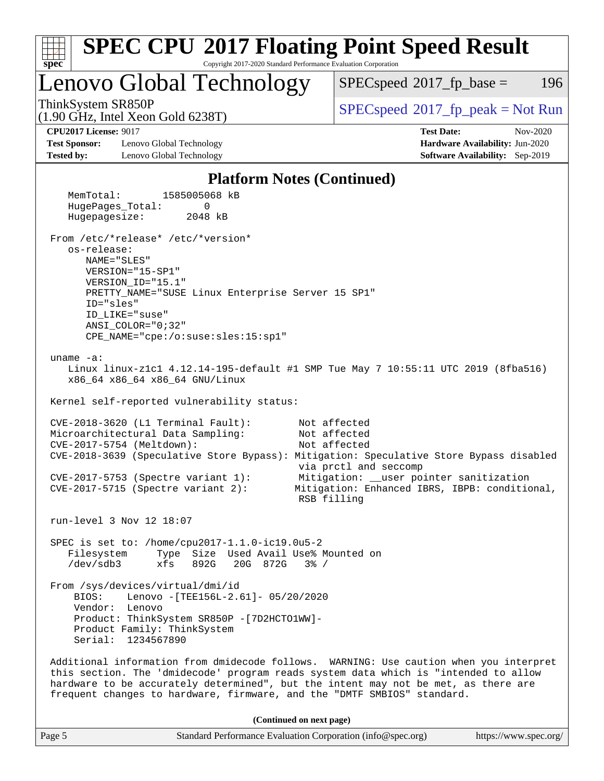| <b>SPEC CPU®2017 Floating Point Speed Result</b>                                                                                                                                                                                                                                                                                               |                                                                                                                                                                   |
|------------------------------------------------------------------------------------------------------------------------------------------------------------------------------------------------------------------------------------------------------------------------------------------------------------------------------------------------|-------------------------------------------------------------------------------------------------------------------------------------------------------------------|
| Copyright 2017-2020 Standard Performance Evaluation Corporation<br>$spec^*$<br>Lenovo Global Technology                                                                                                                                                                                                                                        | 196<br>$SPEC speed^{\circ}2017$ fp base =                                                                                                                         |
| ThinkSystem SR850P<br>$(1.90 \text{ GHz}, \text{Intel Xeon Gold } 6238 \text{T})$                                                                                                                                                                                                                                                              | $SPEC speed$ <sup>®</sup> 2017_fp_peak = Not Run                                                                                                                  |
| <b>CPU2017 License: 9017</b><br><b>Test Sponsor:</b><br>Lenovo Global Technology<br><b>Tested by:</b><br>Lenovo Global Technology                                                                                                                                                                                                              | <b>Test Date:</b><br>Nov-2020<br>Hardware Availability: Jun-2020<br>Software Availability: Sep-2019                                                               |
| <b>Platform Notes (Continued)</b>                                                                                                                                                                                                                                                                                                              |                                                                                                                                                                   |
| MemTotal:<br>1585005068 kB<br>HugePages_Total:<br>0<br>Hugepagesize:<br>2048 kB                                                                                                                                                                                                                                                                |                                                                                                                                                                   |
| From /etc/*release* /etc/*version*<br>os-release:<br>NAME="SLES"<br>VERSION="15-SP1"<br>VERSION ID="15.1"<br>PRETTY_NAME="SUSE Linux Enterprise Server 15 SP1"<br>ID="sles"<br>ID LIKE="suse"<br>$ANSI$ _COLOR=" $0:32$ "<br>CPE_NAME="cpe:/o:suse:sles:15:sp1"                                                                                |                                                                                                                                                                   |
| uname $-a$ :<br>Linux linux-z1c1 4.12.14-195-default #1 SMP Tue May 7 10:55:11 UTC 2019 (8fba516)<br>x86_64 x86_64 x86_64 GNU/Linux<br>Kernel self-reported vulnerability status:                                                                                                                                                              |                                                                                                                                                                   |
| $CVE-2018-3620$ (L1 Terminal Fault):<br>Microarchitectural Data Sampling:<br>CVE-2017-5754 (Meltdown):<br>CVE-2018-3639 (Speculative Store Bypass): Mitigation: Speculative Store Bypass disabled<br>$CVE-2017-5753$ (Spectre variant 1):<br>$CVE-2017-5715$ (Spectre variant 2):<br>RSB filling                                               | Not affected<br>Not affected<br>Not affected<br>via prctl and seccomp<br>Mitigation: __user pointer sanitization<br>Mitigation: Enhanced IBRS, IBPB: conditional, |
| run-level 3 Nov 12 18:07                                                                                                                                                                                                                                                                                                                       |                                                                                                                                                                   |
| SPEC is set to: /home/cpu2017-1.1.0-ic19.0u5-2<br>Type Size Used Avail Use% Mounted on<br>Filesystem<br>/dev/sdb3<br>892G<br>20G 872G<br>xfs<br>$3\frac{6}{6}$ /                                                                                                                                                                               |                                                                                                                                                                   |
| From /sys/devices/virtual/dmi/id<br>Lenovo - [TEE156L-2.61]- 05/20/2020<br>BIOS:<br>Vendor: Lenovo<br>Product: ThinkSystem SR850P - [7D2HCTO1WW]-<br>Product Family: ThinkSystem<br>Serial: 1234567890                                                                                                                                         |                                                                                                                                                                   |
| Additional information from dmidecode follows. WARNING: Use caution when you interpret<br>this section. The 'dmidecode' program reads system data which is "intended to allow<br>hardware to be accurately determined", but the intent may not be met, as there are<br>frequent changes to hardware, firmware, and the "DMTF SMBIOS" standard. |                                                                                                                                                                   |
| (Continued on next page)                                                                                                                                                                                                                                                                                                                       |                                                                                                                                                                   |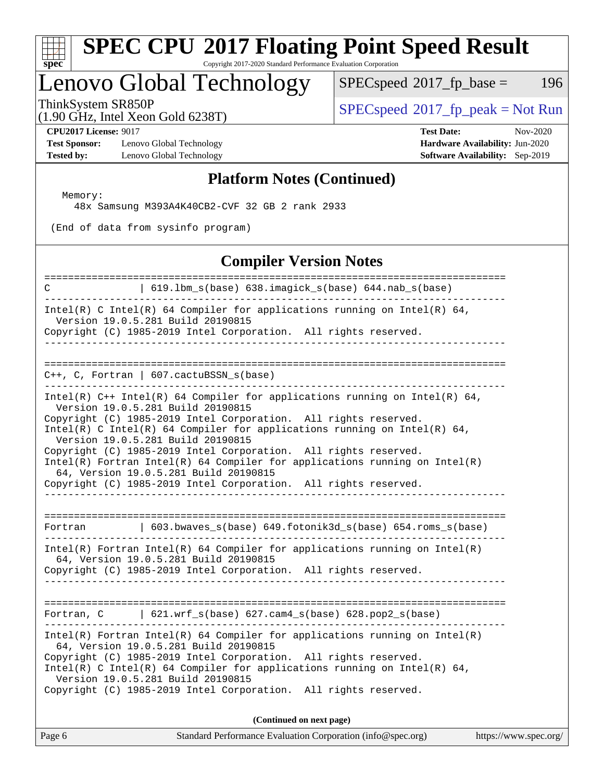# **[spec](http://www.spec.org/)**

# **[SPEC CPU](http://www.spec.org/auto/cpu2017/Docs/result-fields.html#SPECCPU2017FloatingPointSpeedResult)[2017 Floating Point Speed Result](http://www.spec.org/auto/cpu2017/Docs/result-fields.html#SPECCPU2017FloatingPointSpeedResult)**

Copyright 2017-2020 Standard Performance Evaluation Corporation

# Lenovo Global Technology

 $SPECspeed^{\circ}2017_fp\_base = 196$  $SPECspeed^{\circ}2017_fp\_base = 196$ 

(1.90 GHz, Intel Xeon Gold 6238T)

 $SPEC speed^{\circ}2017\_fp\_peak = Not Run$ 

**[Test Sponsor:](http://www.spec.org/auto/cpu2017/Docs/result-fields.html#TestSponsor)** Lenovo Global Technology **[Hardware Availability:](http://www.spec.org/auto/cpu2017/Docs/result-fields.html#HardwareAvailability)** Jun-2020 **[Tested by:](http://www.spec.org/auto/cpu2017/Docs/result-fields.html#Testedby)** Lenovo Global Technology **[Software Availability:](http://www.spec.org/auto/cpu2017/Docs/result-fields.html#SoftwareAvailability)** Sep-2019

**[CPU2017 License:](http://www.spec.org/auto/cpu2017/Docs/result-fields.html#CPU2017License)** 9017 **[Test Date:](http://www.spec.org/auto/cpu2017/Docs/result-fields.html#TestDate)** Nov-2020

### **[Platform Notes \(Continued\)](http://www.spec.org/auto/cpu2017/Docs/result-fields.html#PlatformNotes)**

Memory:

48x Samsung M393A4K40CB2-CVF 32 GB 2 rank 2933

(End of data from sysinfo program)

#### **[Compiler Version Notes](http://www.spec.org/auto/cpu2017/Docs/result-fields.html#CompilerVersionNotes)**

| =====================================<br>C                                  | 619.1bm_s(base) 638.imagick_s(base) 644.nab_s(base)                                                                                             |
|-----------------------------------------------------------------------------|-------------------------------------------------------------------------------------------------------------------------------------------------|
| Version 19.0.5.281 Build 20190815                                           | $Intel(R)$ C Intel(R) 64 Compiler for applications running on Intel(R) 64,<br>Copyright (C) 1985-2019 Intel Corporation. All rights reserved.   |
|                                                                             | ________________                                                                                                                                |
| $C++$ , C, Fortran   607.cactuBSSN_s(base)<br>. _ _ _ _ _ _ _ _ _ _ _ _ _ _ |                                                                                                                                                 |
| Version 19.0.5.281 Build 20190815                                           | Intel(R) C++ Intel(R) 64 Compiler for applications running on Intel(R) 64,                                                                      |
| Version 19.0.5.281 Build 20190815                                           | Copyright (C) 1985-2019 Intel Corporation. All rights reserved.<br>Intel(R) C Intel(R) 64 Compiler for applications running on Intel(R) 64,     |
| 64, Version 19.0.5.281 Build 20190815                                       | Copyright (C) 1985-2019 Intel Corporation. All rights reserved.<br>$Intel(R)$ Fortran Intel(R) 64 Compiler for applications running on Intel(R) |
|                                                                             | Copyright (C) 1985-2019 Intel Corporation. All rights reserved.                                                                                 |
|                                                                             |                                                                                                                                                 |
| Fortran                                                                     | 603.bwaves_s(base) 649.fotonik3d_s(base) 654.roms_s(base)                                                                                       |
| 64, Version 19.0.5.281 Build 20190815                                       | $Intel(R)$ Fortran Intel(R) 64 Compiler for applications running on Intel(R)<br>Copyright (C) 1985-2019 Intel Corporation. All rights reserved. |
|                                                                             | Fortran, $C$   621.wrf_s(base) 627.cam4_s(base) 628.pop2_s(base)                                                                                |
| 64, Version 19.0.5.281 Build 20190815                                       | $Intel(R)$ Fortran Intel(R) 64 Compiler for applications running on Intel(R)                                                                    |
| Version 19.0.5.281 Build 20190815                                           | Copyright (C) 1985-2019 Intel Corporation. All rights reserved.<br>Intel(R) C Intel(R) 64 Compiler for applications running on Intel(R) 64,     |
|                                                                             | Copyright (C) 1985-2019 Intel Corporation. All rights reserved.                                                                                 |
|                                                                             | (Continued on next page)                                                                                                                        |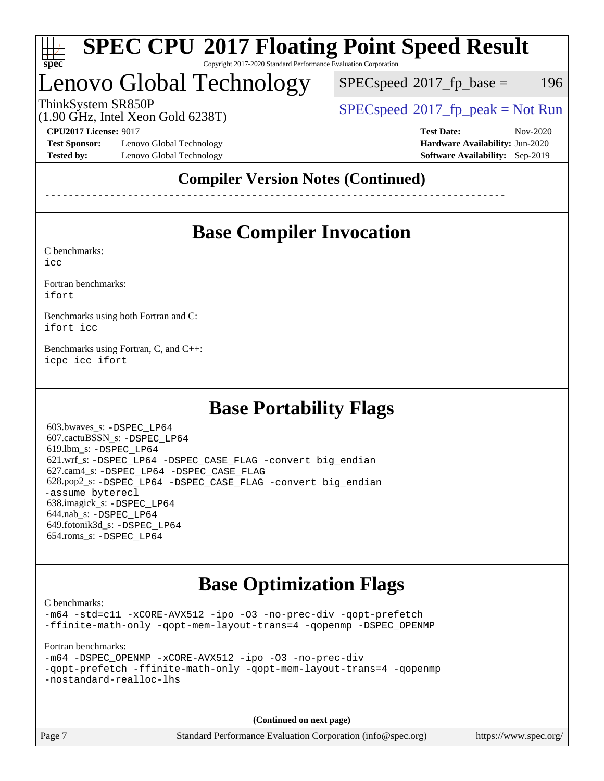

#### **[SPEC CPU](http://www.spec.org/auto/cpu2017/Docs/result-fields.html#SPECCPU2017FloatingPointSpeedResult)[2017 Floating Point Speed Result](http://www.spec.org/auto/cpu2017/Docs/result-fields.html#SPECCPU2017FloatingPointSpeedResult)** Copyright 2017-2020 Standard Performance Evaluation Corporation

## Lenovo Global Technology

 $SPEC speed^{\circ}2017\_fp\_base = 196$ 

ThinkSystem SR850P<br>(1.00 CHz, Intel Year Cald 6228T) [SPECspeed](http://www.spec.org/auto/cpu2017/Docs/result-fields.html#SPECspeed2017fppeak)<sup>®</sup>[2017\\_fp\\_peak = N](http://www.spec.org/auto/cpu2017/Docs/result-fields.html#SPECspeed2017fppeak)ot Run

(1.90 GHz, Intel Xeon Gold 6238T)

**[Test Sponsor:](http://www.spec.org/auto/cpu2017/Docs/result-fields.html#TestSponsor)** Lenovo Global Technology **[Hardware Availability:](http://www.spec.org/auto/cpu2017/Docs/result-fields.html#HardwareAvailability)** Jun-2020 **[Tested by:](http://www.spec.org/auto/cpu2017/Docs/result-fields.html#Testedby)** Lenovo Global Technology **[Software Availability:](http://www.spec.org/auto/cpu2017/Docs/result-fields.html#SoftwareAvailability)** Sep-2019

**[CPU2017 License:](http://www.spec.org/auto/cpu2017/Docs/result-fields.html#CPU2017License)** 9017 **[Test Date:](http://www.spec.org/auto/cpu2017/Docs/result-fields.html#TestDate)** Nov-2020

### **[Compiler Version Notes \(Continued\)](http://www.spec.org/auto/cpu2017/Docs/result-fields.html#CompilerVersionNotes)**

------------------------------------------------------------------------------

## **[Base Compiler Invocation](http://www.spec.org/auto/cpu2017/Docs/result-fields.html#BaseCompilerInvocation)**

[C benchmarks](http://www.spec.org/auto/cpu2017/Docs/result-fields.html#Cbenchmarks):

[icc](http://www.spec.org/cpu2017/results/res2020q4/cpu2017-20201123-24458.flags.html#user_CCbase_intel_icc_66fc1ee009f7361af1fbd72ca7dcefbb700085f36577c54f309893dd4ec40d12360134090235512931783d35fd58c0460139e722d5067c5574d8eaf2b3e37e92)

[Fortran benchmarks](http://www.spec.org/auto/cpu2017/Docs/result-fields.html#Fortranbenchmarks): [ifort](http://www.spec.org/cpu2017/results/res2020q4/cpu2017-20201123-24458.flags.html#user_FCbase_intel_ifort_8111460550e3ca792625aed983ce982f94888b8b503583aa7ba2b8303487b4d8a21a13e7191a45c5fd58ff318f48f9492884d4413fa793fd88dd292cad7027ca)

[Benchmarks using both Fortran and C](http://www.spec.org/auto/cpu2017/Docs/result-fields.html#BenchmarksusingbothFortranandC): [ifort](http://www.spec.org/cpu2017/results/res2020q4/cpu2017-20201123-24458.flags.html#user_CC_FCbase_intel_ifort_8111460550e3ca792625aed983ce982f94888b8b503583aa7ba2b8303487b4d8a21a13e7191a45c5fd58ff318f48f9492884d4413fa793fd88dd292cad7027ca) [icc](http://www.spec.org/cpu2017/results/res2020q4/cpu2017-20201123-24458.flags.html#user_CC_FCbase_intel_icc_66fc1ee009f7361af1fbd72ca7dcefbb700085f36577c54f309893dd4ec40d12360134090235512931783d35fd58c0460139e722d5067c5574d8eaf2b3e37e92)

[Benchmarks using Fortran, C, and C++:](http://www.spec.org/auto/cpu2017/Docs/result-fields.html#BenchmarksusingFortranCandCXX) [icpc](http://www.spec.org/cpu2017/results/res2020q4/cpu2017-20201123-24458.flags.html#user_CC_CXX_FCbase_intel_icpc_c510b6838c7f56d33e37e94d029a35b4a7bccf4766a728ee175e80a419847e808290a9b78be685c44ab727ea267ec2f070ec5dc83b407c0218cded6866a35d07) [icc](http://www.spec.org/cpu2017/results/res2020q4/cpu2017-20201123-24458.flags.html#user_CC_CXX_FCbase_intel_icc_66fc1ee009f7361af1fbd72ca7dcefbb700085f36577c54f309893dd4ec40d12360134090235512931783d35fd58c0460139e722d5067c5574d8eaf2b3e37e92) [ifort](http://www.spec.org/cpu2017/results/res2020q4/cpu2017-20201123-24458.flags.html#user_CC_CXX_FCbase_intel_ifort_8111460550e3ca792625aed983ce982f94888b8b503583aa7ba2b8303487b4d8a21a13e7191a45c5fd58ff318f48f9492884d4413fa793fd88dd292cad7027ca)

### **[Base Portability Flags](http://www.spec.org/auto/cpu2017/Docs/result-fields.html#BasePortabilityFlags)**

 603.bwaves\_s: [-DSPEC\\_LP64](http://www.spec.org/cpu2017/results/res2020q4/cpu2017-20201123-24458.flags.html#suite_basePORTABILITY603_bwaves_s_DSPEC_LP64) 607.cactuBSSN\_s: [-DSPEC\\_LP64](http://www.spec.org/cpu2017/results/res2020q4/cpu2017-20201123-24458.flags.html#suite_basePORTABILITY607_cactuBSSN_s_DSPEC_LP64) 619.lbm\_s: [-DSPEC\\_LP64](http://www.spec.org/cpu2017/results/res2020q4/cpu2017-20201123-24458.flags.html#suite_basePORTABILITY619_lbm_s_DSPEC_LP64) 621.wrf\_s: [-DSPEC\\_LP64](http://www.spec.org/cpu2017/results/res2020q4/cpu2017-20201123-24458.flags.html#suite_basePORTABILITY621_wrf_s_DSPEC_LP64) [-DSPEC\\_CASE\\_FLAG](http://www.spec.org/cpu2017/results/res2020q4/cpu2017-20201123-24458.flags.html#b621.wrf_s_baseCPORTABILITY_DSPEC_CASE_FLAG) [-convert big\\_endian](http://www.spec.org/cpu2017/results/res2020q4/cpu2017-20201123-24458.flags.html#user_baseFPORTABILITY621_wrf_s_convert_big_endian_c3194028bc08c63ac5d04de18c48ce6d347e4e562e8892b8bdbdc0214820426deb8554edfa529a3fb25a586e65a3d812c835984020483e7e73212c4d31a38223) 627.cam4\_s: [-DSPEC\\_LP64](http://www.spec.org/cpu2017/results/res2020q4/cpu2017-20201123-24458.flags.html#suite_basePORTABILITY627_cam4_s_DSPEC_LP64) [-DSPEC\\_CASE\\_FLAG](http://www.spec.org/cpu2017/results/res2020q4/cpu2017-20201123-24458.flags.html#b627.cam4_s_baseCPORTABILITY_DSPEC_CASE_FLAG) 628.pop2\_s: [-DSPEC\\_LP64](http://www.spec.org/cpu2017/results/res2020q4/cpu2017-20201123-24458.flags.html#suite_basePORTABILITY628_pop2_s_DSPEC_LP64) [-DSPEC\\_CASE\\_FLAG](http://www.spec.org/cpu2017/results/res2020q4/cpu2017-20201123-24458.flags.html#b628.pop2_s_baseCPORTABILITY_DSPEC_CASE_FLAG) [-convert big\\_endian](http://www.spec.org/cpu2017/results/res2020q4/cpu2017-20201123-24458.flags.html#user_baseFPORTABILITY628_pop2_s_convert_big_endian_c3194028bc08c63ac5d04de18c48ce6d347e4e562e8892b8bdbdc0214820426deb8554edfa529a3fb25a586e65a3d812c835984020483e7e73212c4d31a38223) [-assume byterecl](http://www.spec.org/cpu2017/results/res2020q4/cpu2017-20201123-24458.flags.html#user_baseFPORTABILITY628_pop2_s_assume_byterecl_7e47d18b9513cf18525430bbf0f2177aa9bf368bc7a059c09b2c06a34b53bd3447c950d3f8d6c70e3faf3a05c8557d66a5798b567902e8849adc142926523472) 638.imagick\_s: [-DSPEC\\_LP64](http://www.spec.org/cpu2017/results/res2020q4/cpu2017-20201123-24458.flags.html#suite_basePORTABILITY638_imagick_s_DSPEC_LP64) 644.nab\_s: [-DSPEC\\_LP64](http://www.spec.org/cpu2017/results/res2020q4/cpu2017-20201123-24458.flags.html#suite_basePORTABILITY644_nab_s_DSPEC_LP64) 649.fotonik3d\_s: [-DSPEC\\_LP64](http://www.spec.org/cpu2017/results/res2020q4/cpu2017-20201123-24458.flags.html#suite_basePORTABILITY649_fotonik3d_s_DSPEC_LP64) 654.roms\_s: [-DSPEC\\_LP64](http://www.spec.org/cpu2017/results/res2020q4/cpu2017-20201123-24458.flags.html#suite_basePORTABILITY654_roms_s_DSPEC_LP64)

### **[Base Optimization Flags](http://www.spec.org/auto/cpu2017/Docs/result-fields.html#BaseOptimizationFlags)**

[C benchmarks](http://www.spec.org/auto/cpu2017/Docs/result-fields.html#Cbenchmarks):

[-m64](http://www.spec.org/cpu2017/results/res2020q4/cpu2017-20201123-24458.flags.html#user_CCbase_m64-icc) [-std=c11](http://www.spec.org/cpu2017/results/res2020q4/cpu2017-20201123-24458.flags.html#user_CCbase_std-icc-std_0e1c27790398a4642dfca32ffe6c27b5796f9c2d2676156f2e42c9c44eaad0c049b1cdb667a270c34d979996257aeb8fc440bfb01818dbc9357bd9d174cb8524) [-xCORE-AVX512](http://www.spec.org/cpu2017/results/res2020q4/cpu2017-20201123-24458.flags.html#user_CCbase_f-xCORE-AVX512) [-ipo](http://www.spec.org/cpu2017/results/res2020q4/cpu2017-20201123-24458.flags.html#user_CCbase_f-ipo) [-O3](http://www.spec.org/cpu2017/results/res2020q4/cpu2017-20201123-24458.flags.html#user_CCbase_f-O3) [-no-prec-div](http://www.spec.org/cpu2017/results/res2020q4/cpu2017-20201123-24458.flags.html#user_CCbase_f-no-prec-div) [-qopt-prefetch](http://www.spec.org/cpu2017/results/res2020q4/cpu2017-20201123-24458.flags.html#user_CCbase_f-qopt-prefetch) [-ffinite-math-only](http://www.spec.org/cpu2017/results/res2020q4/cpu2017-20201123-24458.flags.html#user_CCbase_f_finite_math_only_cb91587bd2077682c4b38af759c288ed7c732db004271a9512da14a4f8007909a5f1427ecbf1a0fb78ff2a814402c6114ac565ca162485bbcae155b5e4258871) [-qopt-mem-layout-trans=4](http://www.spec.org/cpu2017/results/res2020q4/cpu2017-20201123-24458.flags.html#user_CCbase_f-qopt-mem-layout-trans_fa39e755916c150a61361b7846f310bcdf6f04e385ef281cadf3647acec3f0ae266d1a1d22d972a7087a248fd4e6ca390a3634700869573d231a252c784941a8) [-qopenmp](http://www.spec.org/cpu2017/results/res2020q4/cpu2017-20201123-24458.flags.html#user_CCbase_qopenmp_16be0c44f24f464004c6784a7acb94aca937f053568ce72f94b139a11c7c168634a55f6653758ddd83bcf7b8463e8028bb0b48b77bcddc6b78d5d95bb1df2967) [-DSPEC\\_OPENMP](http://www.spec.org/cpu2017/results/res2020q4/cpu2017-20201123-24458.flags.html#suite_CCbase_DSPEC_OPENMP)

[Fortran benchmarks](http://www.spec.org/auto/cpu2017/Docs/result-fields.html#Fortranbenchmarks):

[-m64](http://www.spec.org/cpu2017/results/res2020q4/cpu2017-20201123-24458.flags.html#user_FCbase_m64-icc) [-DSPEC\\_OPENMP](http://www.spec.org/cpu2017/results/res2020q4/cpu2017-20201123-24458.flags.html#suite_FCbase_DSPEC_OPENMP) [-xCORE-AVX512](http://www.spec.org/cpu2017/results/res2020q4/cpu2017-20201123-24458.flags.html#user_FCbase_f-xCORE-AVX512) [-ipo](http://www.spec.org/cpu2017/results/res2020q4/cpu2017-20201123-24458.flags.html#user_FCbase_f-ipo) [-O3](http://www.spec.org/cpu2017/results/res2020q4/cpu2017-20201123-24458.flags.html#user_FCbase_f-O3) [-no-prec-div](http://www.spec.org/cpu2017/results/res2020q4/cpu2017-20201123-24458.flags.html#user_FCbase_f-no-prec-div) [-qopt-prefetch](http://www.spec.org/cpu2017/results/res2020q4/cpu2017-20201123-24458.flags.html#user_FCbase_f-qopt-prefetch) [-ffinite-math-only](http://www.spec.org/cpu2017/results/res2020q4/cpu2017-20201123-24458.flags.html#user_FCbase_f_finite_math_only_cb91587bd2077682c4b38af759c288ed7c732db004271a9512da14a4f8007909a5f1427ecbf1a0fb78ff2a814402c6114ac565ca162485bbcae155b5e4258871) [-qopt-mem-layout-trans=4](http://www.spec.org/cpu2017/results/res2020q4/cpu2017-20201123-24458.flags.html#user_FCbase_f-qopt-mem-layout-trans_fa39e755916c150a61361b7846f310bcdf6f04e385ef281cadf3647acec3f0ae266d1a1d22d972a7087a248fd4e6ca390a3634700869573d231a252c784941a8) [-qopenmp](http://www.spec.org/cpu2017/results/res2020q4/cpu2017-20201123-24458.flags.html#user_FCbase_qopenmp_16be0c44f24f464004c6784a7acb94aca937f053568ce72f94b139a11c7c168634a55f6653758ddd83bcf7b8463e8028bb0b48b77bcddc6b78d5d95bb1df2967) [-nostandard-realloc-lhs](http://www.spec.org/cpu2017/results/res2020q4/cpu2017-20201123-24458.flags.html#user_FCbase_f_2003_std_realloc_82b4557e90729c0f113870c07e44d33d6f5a304b4f63d4c15d2d0f1fab99f5daaed73bdb9275d9ae411527f28b936061aa8b9c8f2d63842963b95c9dd6426b8a)

**(Continued on next page)**

Page 7 Standard Performance Evaluation Corporation [\(info@spec.org\)](mailto:info@spec.org) <https://www.spec.org/>